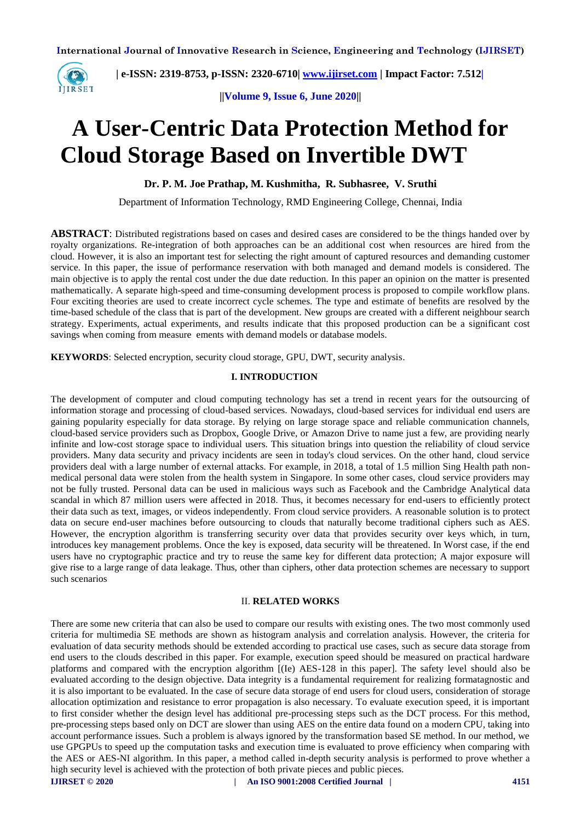

 **| e-ISSN: 2319-8753, p-ISSN: 2320-6710| [www.ijirset.com](http://www.ijirset.com/) | Impact Factor: 7.512|**

**||Volume 9, Issue 6, June 2020||** 

# **A User-Centric Data Protection Method for Cloud Storage Based on Invertible DWT**

# **Dr. P. M. Joe Prathap, M. Kushmitha, R. Subhasree, V. Sruthi**

Department of Information Technology, RMD Engineering College, Chennai, India

**ABSTRACT**: Distributed registrations based on cases and desired cases are considered to be the things handed over by royalty organizations. Re-integration of both approaches can be an additional cost when resources are hired from the cloud. However, it is also an important test for selecting the right amount of captured resources and demanding customer service. In this paper, the issue of performance reservation with both managed and demand models is considered. The main objective is to apply the rental cost under the due date reduction. In this paper an opinion on the matter is presented mathematically. A separate high-speed and time-consuming development process is proposed to compile workflow plans. Four exciting theories are used to create incorrect cycle schemes. The type and estimate of benefits are resolved by the time-based schedule of the class that is part of the development. New groups are created with a different neighbour search strategy. Experiments, actual experiments, and results indicate that this proposed production can be a significant cost savings when coming from measure ements with demand models or database models.

**KEYWORDS**: Selected encryption, security cloud storage, GPU, DWT, security analysis.

#### **I. INTRODUCTION**

The development of computer and cloud computing technology has set a trend in recent years for the outsourcing of information storage and processing of cloud-based services. Nowadays, cloud-based services for individual end users are gaining popularity especially for data storage. By relying on large storage space and reliable communication channels, cloud-based service providers such as Dropbox, Google Drive, or Amazon Drive to name just a few, are providing nearly infinite and low-cost storage space to individual users. This situation brings into question the reliability of cloud service providers. Many data security and privacy incidents are seen in today's cloud services. On the other hand, cloud service providers deal with a large number of external attacks. For example, in 2018, a total of 1.5 million Sing Health path nonmedical personal data were stolen from the health system in Singapore. In some other cases, cloud service providers may not be fully trusted. Personal data can be used in malicious ways such as Facebook and the Cambridge Analytical data scandal in which 87 million users were affected in 2018. Thus, it becomes necessary for end-users to efficiently protect their data such as text, images, or videos independently. From cloud service providers. A reasonable solution is to protect data on secure end-user machines before outsourcing to clouds that naturally become traditional ciphers such as AES. However, the encryption algorithm is transferring security over data that provides security over keys which, in turn, introduces key management problems. Once the key is exposed, data security will be threatened. In Worst case, if the end users have no cryptographic practice and try to reuse the same key for different data protection; A major exposure will give rise to a large range of data leakage. Thus, other than ciphers, other data protection schemes are necessary to support such scenarios

## II. **RELATED WORKS**

There are some new criteria that can also be used to compare our results with existing ones. The two most commonly used criteria for multimedia SE methods are shown as histogram analysis and correlation analysis. However, the criteria for evaluation of data security methods should be extended according to practical use cases, such as secure data storage from end users to the clouds described in this paper. For example, execution speed should be measured on practical hardware platforms and compared with the encryption algorithm [(Ie) AES-128 in this paper]. The safety level should also be evaluated according to the design objective. Data integrity is a fundamental requirement for realizing formatagnostic and it is also important to be evaluated. In the case of secure data storage of end users for cloud users, consideration of storage allocation optimization and resistance to error propagation is also necessary. To evaluate execution speed, it is important to first consider whether the design level has additional pre-processing steps such as the DCT process. For this method, pre-processing steps based only on DCT are slower than using AES on the entire data found on a modern CPU, taking into account performance issues. Such a problem is always ignored by the transformation based SE method. In our method, we use GPGPUs to speed up the computation tasks and execution time is evaluated to prove efficiency when comparing with the AES or AES-NI algorithm. In this paper, a method called in-depth security analysis is performed to prove whether a high security level is achieved with the protection of both private pieces and public pieces.

**IJIRSET © 2020 | An ISO 9001:2008 Certified Journal | 4151**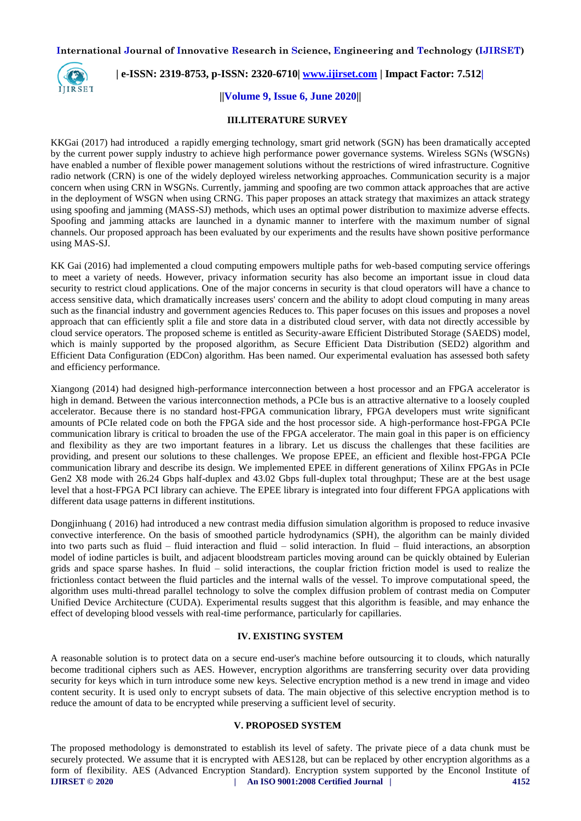

# **| e-ISSN: 2319-8753, p-ISSN: 2320-6710| [www.ijirset.com](http://www.ijirset.com/) | Impact Factor: 7.512|**

#### **||Volume 9, Issue 6, June 2020||**

#### **III.LITERATURE SURVEY**

KKGai (2017) had introduced a rapidly emerging technology, smart grid network (SGN) has been dramatically accepted by the current power supply industry to achieve high performance power governance systems. Wireless SGNs (WSGNs) have enabled a number of flexible power management solutions without the restrictions of wired infrastructure. Cognitive radio network (CRN) is one of the widely deployed wireless networking approaches. Communication security is a major concern when using CRN in WSGNs. Currently, jamming and spoofing are two common attack approaches that are active in the deployment of WSGN when using CRNG. This paper proposes an attack strategy that maximizes an attack strategy using spoofing and jamming (MASS-SJ) methods, which uses an optimal power distribution to maximize adverse effects. Spoofing and jamming attacks are launched in a dynamic manner to interfere with the maximum number of signal channels. Our proposed approach has been evaluated by our experiments and the results have shown positive performance using MAS-SJ.

KK Gai (2016) had implemented a cloud computing empowers multiple paths for web-based computing service offerings to meet a variety of needs. However, privacy information security has also become an important issue in cloud data security to restrict cloud applications. One of the major concerns in security is that cloud operators will have a chance to access sensitive data, which dramatically increases users' concern and the ability to adopt cloud computing in many areas such as the financial industry and government agencies Reduces to. This paper focuses on this issues and proposes a novel approach that can efficiently split a file and store data in a distributed cloud server, with data not directly accessible by cloud service operators. The proposed scheme is entitled as Security-aware Efficient Distributed Storage (SAEDS) model, which is mainly supported by the proposed algorithm, as Secure Efficient Data Distribution (SED2) algorithm and Efficient Data Configuration (EDCon) algorithm. Has been named. Our experimental evaluation has assessed both safety and efficiency performance.

Xiangong (2014) had designed high-performance interconnection between a host processor and an FPGA accelerator is high in demand. Between the various interconnection methods, a PCIe bus is an attractive alternative to a loosely coupled accelerator. Because there is no standard host-FPGA communication library, FPGA developers must write significant amounts of PCIe related code on both the FPGA side and the host processor side. A high-performance host-FPGA PCIe communication library is critical to broaden the use of the FPGA accelerator. The main goal in this paper is on efficiency and flexibility as they are two important features in a library. Let us discuss the challenges that these facilities are providing, and present our solutions to these challenges. We propose EPEE, an efficient and flexible host-FPGA PCIe communication library and describe its design. We implemented EPEE in different generations of Xilinx FPGAs in PCIe Gen2 X8 mode with 26.24 Gbps half-duplex and 43.02 Gbps full-duplex total throughput; These are at the best usage level that a host-FPGA PCI library can achieve. The EPEE library is integrated into four different FPGA applications with different data usage patterns in different institutions.

Dongjinhuang ( 2016) had introduced a new contrast media diffusion simulation algorithm is proposed to reduce invasive convective interference. On the basis of smoothed particle hydrodynamics (SPH), the algorithm can be mainly divided into two parts such as fluid – fluid interaction and fluid – solid interaction. In fluid – fluid interactions, an absorption model of iodine particles is built, and adjacent bloodstream particles moving around can be quickly obtained by Eulerian grids and space sparse hashes. In fluid – solid interactions, the couplar friction friction model is used to realize the frictionless contact between the fluid particles and the internal walls of the vessel. To improve computational speed, the algorithm uses multi-thread parallel technology to solve the complex diffusion problem of contrast media on Computer Unified Device Architecture (CUDA). Experimental results suggest that this algorithm is feasible, and may enhance the effect of developing blood vessels with real-time performance, particularly for capillaries.

## **IV. EXISTING SYSTEM**

A reasonable solution is to protect data on a secure end-user's machine before outsourcing it to clouds, which naturally become traditional ciphers such as AES. However, encryption algorithms are transferring security over data providing security for keys which in turn introduce some new keys. Selective encryption method is a new trend in image and video content security. It is used only to encrypt subsets of data. The main objective of this selective encryption method is to reduce the amount of data to be encrypted while preserving a sufficient level of security.

## **V. PROPOSED SYSTEM**

**IJIRSET © 2020 | An ISO 9001:2008 Certified Journal | 4152** The proposed methodology is demonstrated to establish its level of safety. The private piece of a data chunk must be securely protected. We assume that it is encrypted with AES128, but can be replaced by other encryption algorithms as a form of flexibility. AES (Advanced Encryption Standard). Encryption system supported by the Enconol Institute of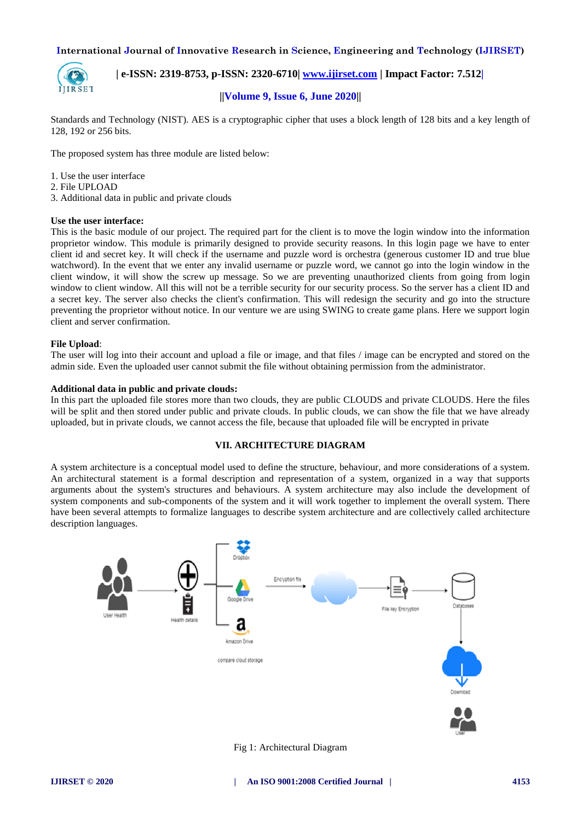

 **| e-ISSN: 2319-8753, p-ISSN: 2320-6710| [www.ijirset.com](http://www.ijirset.com/) | Impact Factor: 7.512|**

## **||Volume 9, Issue 6, June 2020||**

Standards and Technology (NIST). AES is a cryptographic cipher that uses a block length of 128 bits and a key length of 128, 192 or 256 bits.

The proposed system has three module are listed below:

- 1. Use the user interface
- 2. File UPLOAD
- 3. Additional data in public and private clouds

#### **Use the user interface:**

This is the basic module of our project. The required part for the client is to move the login window into the information proprietor window. This module is primarily designed to provide security reasons. In this login page we have to enter client id and secret key. It will check if the username and puzzle word is orchestra (generous customer ID and true blue watchword). In the event that we enter any invalid username or puzzle word, we cannot go into the login window in the client window, it will show the screw up message. So we are preventing unauthorized clients from going from login window to client window. All this will not be a terrible security for our security process. So the server has a client ID and a secret key. The server also checks the client's confirmation. This will redesign the security and go into the structure preventing the proprietor without notice. In our venture we are using SWING to create game plans. Here we support login client and server confirmation.

#### **File Upload**:

The user will log into their account and upload a file or image, and that files / image can be encrypted and stored on the admin side. Even the uploaded user cannot submit the file without obtaining permission from the administrator.

#### **Additional data in public and private clouds:**

In this part the uploaded file stores more than two clouds, they are public CLOUDS and private CLOUDS. Here the files will be split and then stored under public and private clouds. In public clouds, we can show the file that we have already uploaded, but in private clouds, we cannot access the file, because that uploaded file will be encrypted in private

#### **VII. ARCHITECTURE DIAGRAM**

A system architecture is a conceptual model used to define the structure, behaviour, and more considerations of a system. An architectural statement is a formal description and representation of a system, organized in a way that supports arguments about the system's structures and behaviours. A system architecture may also include the development of system components and sub-components of the system and it will work together to implement the overall system. There have been several attempts to formalize languages to describe system architecture and are collectively called architecture description languages.



Fig 1: Architectural Diagram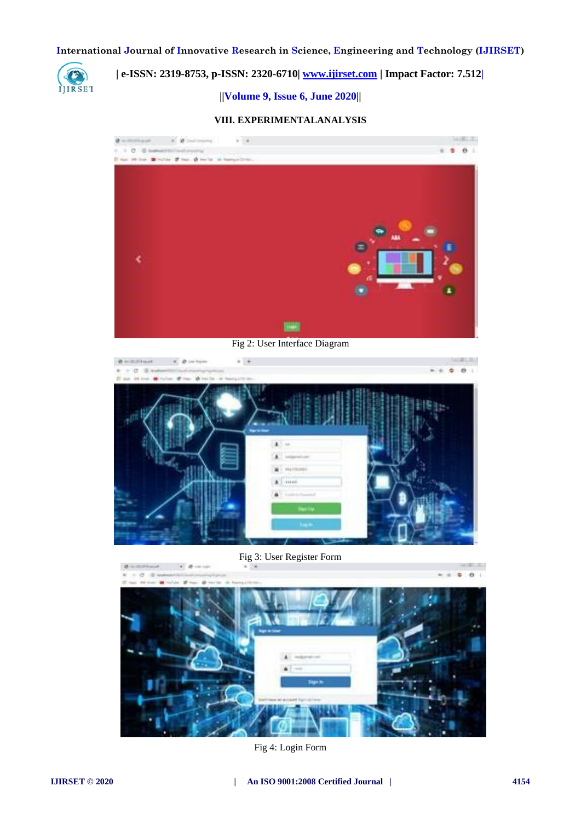

# **| e-ISSN: 2319-8753, p-ISSN: 2320-6710| [www.ijirset.com](http://www.ijirset.com/) | Impact Factor: 7.512|**

**||Volume 9, Issue 6, June 2020||** 

## **VIII. EXPERIMENTALANALYSIS**



Fig 2: User Interface Diagram



Fig 3: User Register Form



Fig 4: Login Form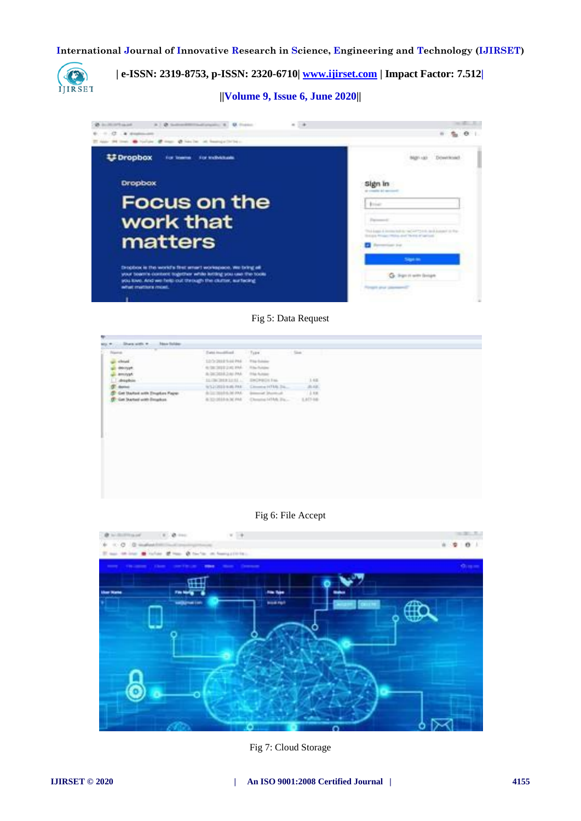

 **| e-ISSN: 2319-8753, p-ISSN: 2320-6710| [www.ijirset.com](http://www.ijirset.com/) | Impact Factor: 7.512|**

**||Volume 9, Issue 6, June 2020||** 



Fig 5: Data Request

| <b>Rigorian</b>                                                          | Twee investment                               | 17800                                                 | Size:       |  |
|--------------------------------------------------------------------------|-----------------------------------------------|-------------------------------------------------------|-------------|--|
| should                                                                   | 12/2/2010 5:00 PM The bridge                  |                                                       |             |  |
| delinger                                                                 | ALCOHOL: UNK PART                             | 1. Miller Rubbler                                     |             |  |
| <b>Amount</b>                                                            | ALCOHOL:UNIVER                                | This future                                           | .           |  |
| draphon                                                                  | 11/700 2010 12:53 L.                          | <b>ENDINGS Fax</b>                                    | 148<br>on a |  |
|                                                                          | WILCOSE EARLY                                 | Closed (CDA 24.)                                      | 高は、         |  |
| Get Started with Empton Faper                                            | do las mission lei 2000.                      | Account for                                           | 4.18        |  |
| Get Ductori with Emarkon.<br>a Bandar was belowed a ward in the first of | ALCOHOL: NO PART<br>a concert of a concert of | Classing LCMA Tra.<br>and the first party of the con- | 1,40146     |  |
|                                                                          |                                               |                                                       |             |  |
|                                                                          |                                               |                                                       |             |  |
|                                                                          |                                               |                                                       |             |  |
|                                                                          |                                               |                                                       |             |  |
|                                                                          |                                               |                                                       |             |  |

## Fig 6: File Accept



Fig 7: Cloud Storage